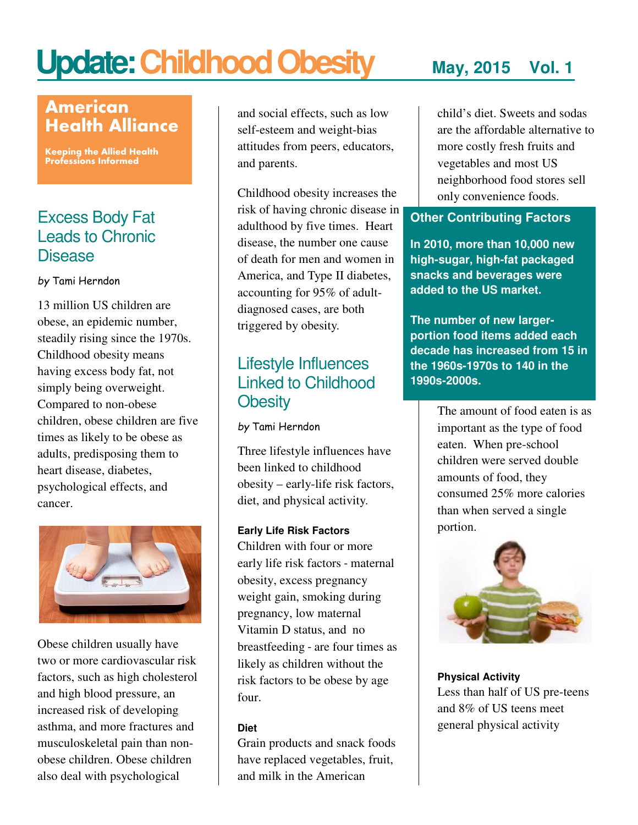# Update: Childhood Obesity May, 2015 Vol. 1

# American Health Alliance

Keeping the Allied Health Professions Informed

# Excess Body Fat Leads to Chronic Disease

by Tami Herndon

13 million US children are obese, an epidemic number, steadily rising since the 1970s. Childhood obesity means having excess body fat, not simply being overweight. Compared to non-obese children, obese children are five times as likely to be obese as adults, predisposing them to heart disease, diabetes, psychological effects, and cancer.



Obese children usually have two or more cardiovascular risk factors, such as high cholesterol and high blood pressure, an increased risk of developing asthma, and more fractures and musculoskeletal pain than nonobese children. Obese children also deal with psychological

and social effects, such as low self-esteem and weight-bias attitudes from peers, educators, and parents.

Childhood obesity increases the risk of having chronic disease in adulthood by five times. Heart disease, the number one cause of death for men and women in America, and Type II diabetes, accounting for 95% of adultdiagnosed cases, are both triggered by obesity.

# Lifestyle Influences Linked to Childhood **Obesity**

by Tami Herndon

Three lifestyle influences have been linked to childhood obesity – early-life risk factors, diet, and physical activity.

#### **Early Life Risk Factors**

Children with four or more early life risk factors - maternal obesity, excess pregnancy weight gain, smoking during pregnancy, low maternal Vitamin D status, and no breastfeeding - are four times as likely as children without the risk factors to be obese by age four.

#### **Diet**

Grain products and snack foods have replaced vegetables, fruit, and milk in the American

child's diet. Sweets and sodas are the affordable alternative to more costly fresh fruits and vegetables and most US neighborhood food stores sell only convenience foods.

### **Other Contributing Factors**

**In 2010, more than 10,000 new high-sugar, high-fat packaged snacks and beverages were added to the US market.** 

**The number of new largerportion food items added each decade has increased from 15 in the 1960s-1970s to 140 in the 1990s-2000s.** 

> The amount of food eaten is as important as the type of food eaten. When pre-school children were served double amounts of food, they consumed 25% more calories than when served a single portion.



**Physical Activity**  Less than half of US pre-teens and 8% of US teens meet general physical activity